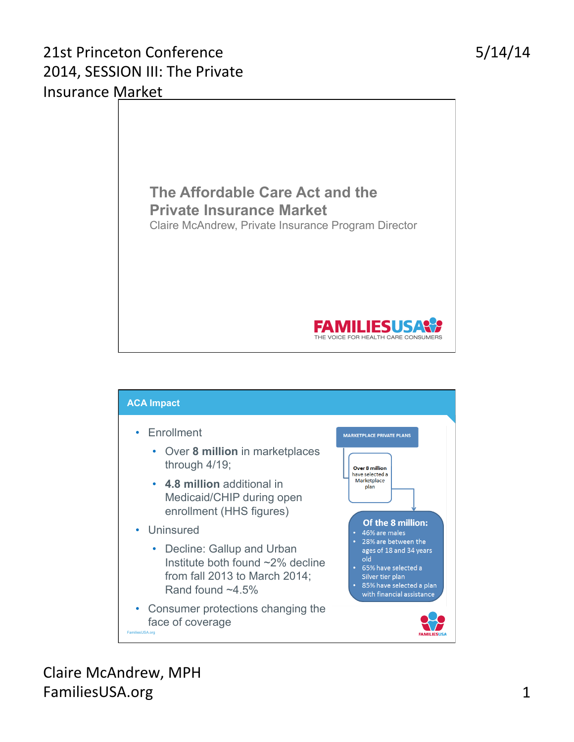### 21st Princeton Conference 2014, SESSION III: The Private Insurance Market





Claire McAndrew, MPH FamiliesUSA.org 1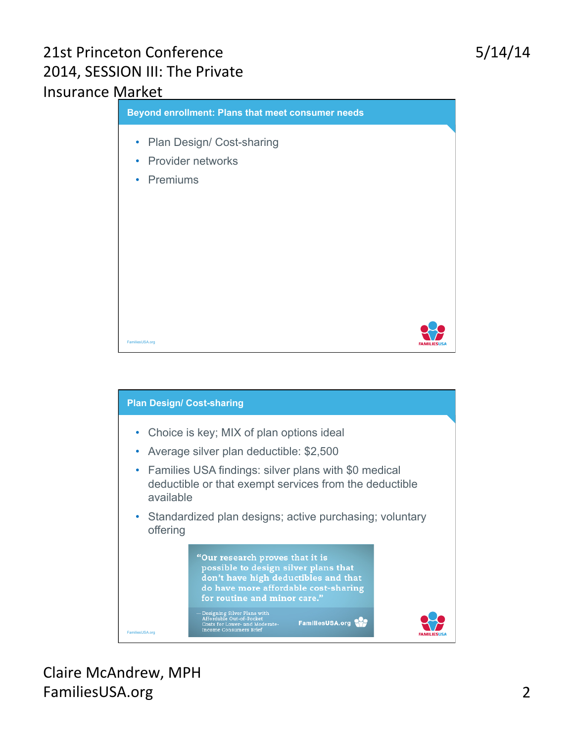#### 21st Princeton Conference 2014, SESSION III: The Private Insurance Market





Claire McAndrew, MPH FamiliesUSA.org 2

# 5/14/14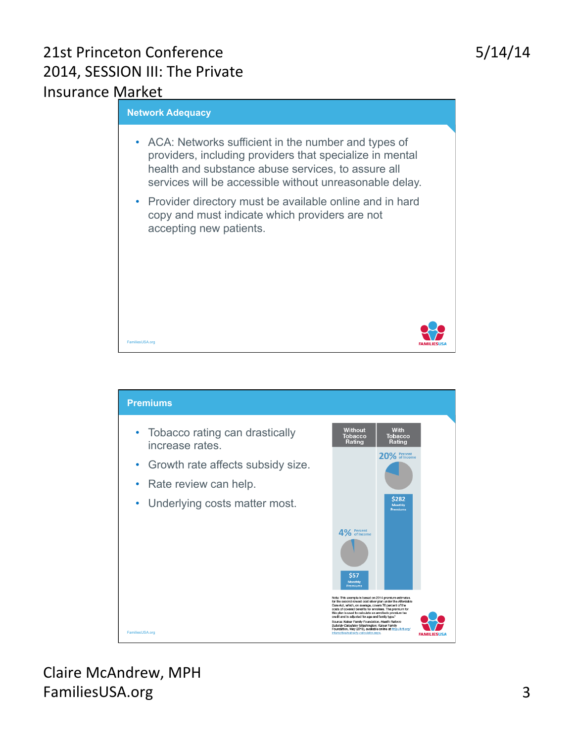### 21st Princeton Conference 2014, SESSION III: The Private Insurance Market





Claire McAndrew, MPH FamiliesUSA.org 3

5/14/14